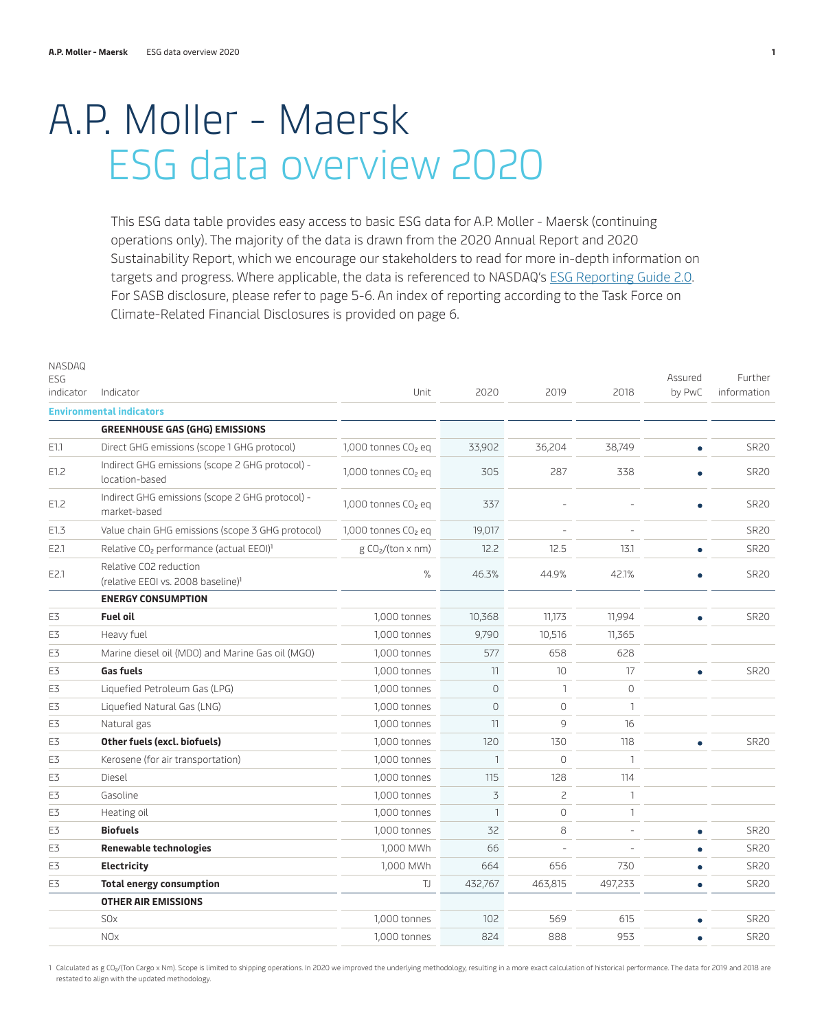# A.P. Moller - Maersk ESG data overview 2020

This ESG data table provides easy access to basic ESG data for A.P. Moller - Maersk (continuing operations only). The majority of the data is drawn from the 2020 Annual Report and 2020 Sustainability Report, which we encourage our stakeholders to read for more in-depth information on targets and progress. Where applicable, the data is referenced to NASDAQ's [ESG Reporting Guide 2.0.](https://www.nasdaq.com/docs/2019/11/26/2019-ESG-Reporting-Guide.pdf) For SASB disclosure, please refer to page [5-6.](#page-4-0) An index of reporting according to the Task Force on Climate-Related Financial Disclosures is provided on page [6.](#page-5-0)

| NASDAQ<br>ESG<br>indicator | Indicator                                                                | Unit                            | 2020           | 2019           | 2018         | Assured<br>by PwC | Further<br>information |
|----------------------------|--------------------------------------------------------------------------|---------------------------------|----------------|----------------|--------------|-------------------|------------------------|
|                            | <b>Environmental indicators</b>                                          |                                 |                |                |              |                   |                        |
|                            | <b>GREENHOUSE GAS (GHG) EMISSIONS</b>                                    |                                 |                |                |              |                   |                        |
| E1.1                       | Direct GHG emissions (scope 1 GHG protocol)                              | 1,000 tonnes CO <sub>2</sub> eq | 33,902         | 36,204         | 38,749       | $\bullet$         | <b>SR20</b>            |
| E1.2                       | Indirect GHG emissions (scope 2 GHG protocol) -<br>location-based        | 1,000 tonnes CO <sub>2</sub> eq | 305            | 287            | 338          |                   | <b>SR20</b>            |
| E1.2                       | Indirect GHG emissions (scope 2 GHG protocol) -<br>market-based          | 1,000 tonnes CO <sub>2</sub> eq | 337            |                |              | ۰                 | <b>SR20</b>            |
| E1.3                       | Value chain GHG emissions (scope 3 GHG protocol)                         | 1,000 tonnes CO <sub>2</sub> eq | 19,017         |                |              |                   | <b>SR20</b>            |
| E2.1                       | Relative CO <sub>2</sub> performance (actual EEOI) <sup>1</sup>          | g CO2/(ton x nm)                | 12.2           | 12.5           | 13.1         | $\bullet$         | <b>SR20</b>            |
| E2.1                       | Relative CO2 reduction<br>(relative EEOI vs. 2008 baseline) <sup>1</sup> | %                               | 46.3%          | 44.9%          | 42.1%        | ٠                 | <b>SR20</b>            |
|                            | <b>ENERGY CONSUMPTION</b>                                                |                                 |                |                |              |                   |                        |
| E3                         | <b>Fuel oil</b>                                                          | 1,000 tonnes                    | 10,368         | 11,173         | 11,994       | $\bullet$         | <b>SR20</b>            |
| E3                         | Heavy fuel                                                               | 1,000 tonnes                    | 9,790          | 10,516         | 11,365       |                   |                        |
| E3                         | Marine diesel oil (MDO) and Marine Gas oil (MGO)                         | 1,000 tonnes                    | 577            | 658            | 628          |                   |                        |
| E3                         | <b>Gas fuels</b>                                                         | 1,000 tonnes                    | 11             | 10             | 17           | $\bullet$         | <b>SR20</b>            |
| E3                         | Liquefied Petroleum Gas (LPG)                                            | 1,000 tonnes                    | $\overline{0}$ | $\mathbf{1}$   | 0            |                   |                        |
| E3                         | Liquefied Natural Gas (LNG)                                              | 1,000 tonnes                    | $\circ$        | $\circ$        | 1            |                   |                        |
| E3                         | Natural gas                                                              | 1,000 tonnes                    | 11             | $\circ$        | 16           |                   |                        |
| E3                         | Other fuels (excl. biofuels)                                             | 1,000 tonnes                    | 120            | 130            | 118          | $\bullet$         | <b>SR20</b>            |
| E3                         | Kerosene (for air transportation)                                        | 1,000 tonnes                    | $\mathbf{1}$   | $\Omega$       | $\mathbf{1}$ |                   |                        |
| E3                         | Diesel                                                                   | 1,000 tonnes                    | 115            | 128            | 114          |                   |                        |
| E3                         | Gasoline                                                                 | 1,000 tonnes                    | 3              | $\overline{c}$ | $\mathbf{1}$ |                   |                        |
| E3                         | Heating oil                                                              | 1,000 tonnes                    | $\mathbf{1}$   | $\Omega$       | $\mathbf{1}$ |                   |                        |
| E3                         | <b>Biofuels</b>                                                          | 1,000 tonnes                    | 32             | 8              |              | $\bullet$         | <b>SR20</b>            |
| E3                         | <b>Renewable technologies</b>                                            | 1,000 MWh                       | 66             | $\overline{a}$ |              | $\bullet$         | <b>SR20</b>            |
| E3                         | Electricity                                                              | 1,000 MWh                       | 664            | 656            | 730          | $\bullet$         | <b>SR20</b>            |
| E3                         | <b>Total energy consumption</b>                                          | IJ                              | 432,767        | 463,815        | 497,233      | $\bullet$         | <b>SR20</b>            |
|                            | <b>OTHER AIR EMISSIONS</b>                                               |                                 |                |                |              |                   |                        |
|                            | <b>SO<sub>x</sub></b>                                                    | 1,000 tonnes                    | 102            | 569            | 615          | $\bullet$         | <b>SR20</b>            |
|                            | <b>NOx</b>                                                               | 1,000 tonnes                    | 824            | 888            | 953          | $\bullet$         | <b>SR20</b>            |

1 Calculated as g CO2/(Ton Cargo x Nm). Scope is limited to shipping operations. In 2020 we improved the underlying methodology, resulting in a more exact calculation of historical performance. The data for 2019 and 2018 a restated to align with the updated methodology.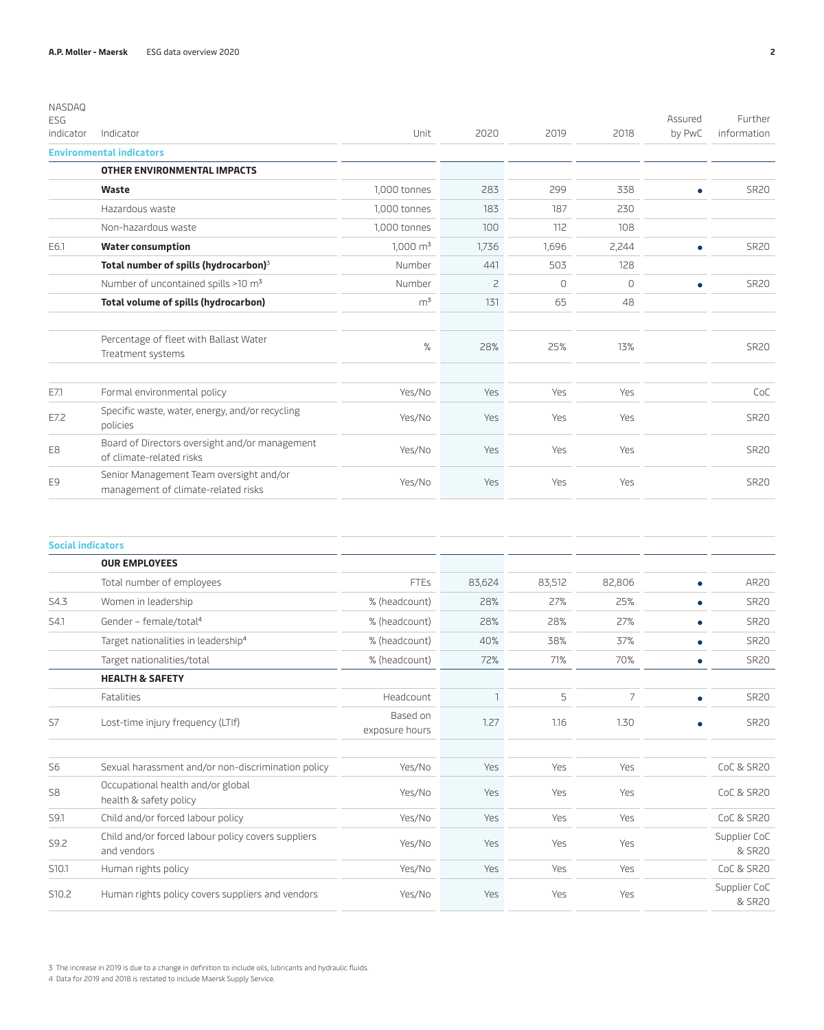| NASDAQ                  |                                                                                |                     |       |          |          |                   |                        |
|-------------------------|--------------------------------------------------------------------------------|---------------------|-------|----------|----------|-------------------|------------------------|
| <b>ESG</b><br>indicator | Indicator                                                                      | Unit                | 2020  | 2019     | 2018     | Assured<br>by PwC | Further<br>information |
|                         | <b>Environmental indicators</b>                                                |                     |       |          |          |                   |                        |
|                         | <b>OTHER ENVIRONMENTAL IMPACTS</b>                                             |                     |       |          |          |                   |                        |
|                         | Waste                                                                          | 1,000 tonnes        | 283   | 299      | 338      | ٠                 | <b>SR20</b>            |
|                         | Hazardous waste                                                                | 1,000 tonnes        | 183   | 187      | 230      |                   |                        |
|                         | Non-hazardous waste                                                            | 1,000 tonnes        | 100   | 112      | 108      |                   |                        |
| E6.1                    | <b>Water consumption</b>                                                       | $1,000 \text{ m}^3$ | 1,736 | 1,696    | 2,244    |                   | <b>SR20</b>            |
|                         | Total number of spills (hydrocarbon) <sup>3</sup>                              | Number              | 441   | 503      | 128      |                   |                        |
|                         | Number of uncontained spills >10 m <sup>3</sup>                                | Number              | 2     | $\Omega$ | $\Omega$ | $\bullet$         | <b>SR20</b>            |
|                         | Total volume of spills (hydrocarbon)                                           | m <sup>3</sup>      | 131   | 65       | 48       |                   |                        |
|                         | Percentage of fleet with Ballast Water<br>Treatment systems                    | %                   | 28%   | 25%      | 13%      |                   | <b>SR20</b>            |
| E7.1                    | Formal environmental policy                                                    | Yes/No              | Yes   | Yes      | Yes      |                   | CoC                    |
| E7.2                    | Specific waste, water, energy, and/or recycling<br>policies                    | Yes/No              | Yes   | Yes      | Yes      |                   | <b>SR20</b>            |
| E8                      | Board of Directors oversight and/or management<br>of climate-related risks     | Yes/No              | Yes   | Yes      | Yes      |                   | <b>SR20</b>            |
| E9                      | Senior Management Team oversight and/or<br>management of climate-related risks | Yes/No              | Yes   | Yes      | Yes      |                   | <b>SR20</b>            |

|                    | <b>Social indicators</b>                                          |                            |        |        |                |   |                        |
|--------------------|-------------------------------------------------------------------|----------------------------|--------|--------|----------------|---|------------------------|
|                    | <b>OUR EMPLOYEES</b>                                              |                            |        |        |                |   |                        |
|                    | Total number of employees                                         | <b>FTEs</b>                | 83,624 | 83,512 | 82,806         |   | AR20                   |
| S4.3               | Women in leadership                                               | % (headcount)              | 28%    | 27%    | 25%            |   | <b>SR20</b>            |
| S4.1               | Gender - female/total <sup>4</sup>                                | % (headcount)              | 28%    | 28%    | 27%            |   | <b>SR20</b>            |
|                    | Target nationalities in leadership <sup>4</sup>                   | % (headcount)              | 40%    | 38%    | 37%            |   | <b>SR20</b>            |
|                    | Target nationalities/total                                        | % (headcount)              | 72%    | 71%    | 70%            |   | <b>SR20</b>            |
|                    | <b>HEALTH &amp; SAFETY</b>                                        |                            |        |        |                |   |                        |
|                    | Fatalities                                                        | Headcount                  | 1      | 5      | $\overline{7}$ | ٠ | <b>SR20</b>            |
| S7                 | Lost-time injury frequency (LTIf)                                 | Based on<br>exposure hours | 1.27   | 1.16   | 1.30           |   | <b>SR20</b>            |
| S <sub>6</sub>     | Sexual harassment and/or non-discrimination policy                | Yes/No                     | Yes    | Yes    | Yes            |   | CoC & SR20             |
| S <sub>8</sub>     | Occupational health and/or global<br>health & safety policy       | Yes/No                     | Yes    | Yes    | Yes            |   | CoC & SR20             |
| S9.1               | Child and/or forced labour policy                                 | Yes/No                     | Yes    | Yes    | Yes            |   | CoC & SR20             |
| S9.2               | Child and/or forced labour policy covers suppliers<br>and vendors | Yes/No                     | Yes    | Yes    | Yes            |   | Supplier CoC<br>& SR20 |
| S <sub>10</sub> .1 | Human rights policy                                               | Yes/No                     | Yes    | Yes    | Yes            |   | CoC & SR20             |
| S10.2              | Human rights policy covers suppliers and vendors                  | Yes/No                     | Yes    | Yes    | Yes            |   | Supplier CoC<br>& SR20 |

3 The increase in 2019 is due to a change in definition to include oils, lubricants and hydraulic fluids.

4 Data for 2019 and 2018 is restated to include Maersk Supply Service.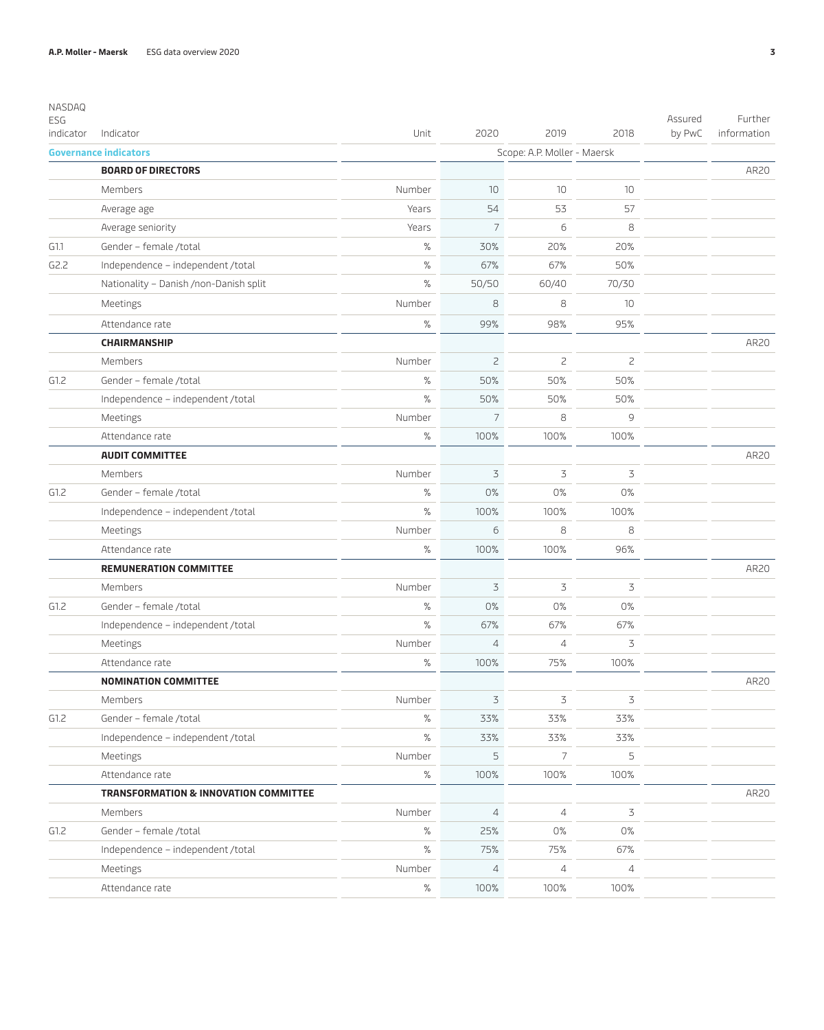| Indicator<br>Unit<br>2020<br>2019<br>2018<br>by PwC<br>information<br>indicator<br><b>Governance indicators</b><br>Scope: A.P. Moller - Maersk<br><b>BOARD OF DIRECTORS</b><br>AR20<br>Number<br>10<br>10<br>10<br>Members<br>54<br>53<br>57<br>Years<br>Average age<br>$\overline{7}$<br>6<br>8<br>Average seniority<br>Years<br>$\%$<br>Gender - female /total<br>30%<br>20%<br>20%<br>G1.1<br>$\%$<br>50%<br>G2.2<br>Independence - independent /total<br>67%<br>67%<br>$\%$<br>70/30<br>Nationality - Danish /non-Danish split<br>50/50<br>60/40<br>8<br>8<br>10<br>Meetings<br>Number<br>$\%$<br>99%<br>98%<br>95%<br>Attendance rate<br><b>CHAIRMANSHIP</b><br>AR20<br>$\overline{c}$<br>$\overline{c}$<br>Members<br>Number<br>$\mathsf{S}$<br>50%<br>G1.2<br>%<br>50%<br>50%<br>Gender - female /total<br>$\%$<br>Independence - independent /total<br>50%<br>50%<br>50%<br>$\overline{7}$<br>8<br>9<br>Meetings<br>Number<br>$\%$<br>100%<br>100%<br>100%<br>Attendance rate<br><b>AUDIT COMMITTEE</b><br>AR20<br>3<br>3<br>3<br>Members<br>Number<br>%<br>0%<br>0%<br>0%<br>G1.2<br>Gender - female /total<br>$\%$<br>100%<br>100%<br>100%<br>Independence - independent /total<br>6<br>8<br>8<br>Number<br>Meetings<br>$\%$<br>100%<br>100%<br>96%<br>Attendance rate<br><b>REMUNERATION COMMITTEE</b><br>AR20<br>3<br>Number<br>3<br>3<br>Members<br>$\%$<br>0%<br>0%<br>G1.2<br>Gender - female /total<br>0%<br>$\%$<br>67%<br>67%<br>67%<br>Independence - independent /total<br>Number<br>$\overline{4}$<br>$\overline{4}$<br>3<br>Meetings<br>100%<br>%<br>100%<br>75%<br>Attendance rate<br>AR20<br><b>NOMINATION COMMITTEE</b><br>$\mathfrak Z$<br>3<br>3<br>Number<br>Members<br>$\%$<br>33%<br>G1.2<br>Gender - female /total<br>33%<br>33%<br>$\%$<br>33%<br>33%<br>Independence - independent /total<br>33%<br>5<br>7<br>5<br>Number<br>Meetings<br>$\%$<br>100%<br>Attendance rate<br>100%<br>100%<br><b>TRANSFORMATION &amp; INNOVATION COMMITTEE</b><br>AR20<br>3<br>Number<br>$\overline{4}$<br>$\overline{4}$<br>Members<br>$\%$<br>0%<br>G1.2<br>Gender - female /total<br>25%<br>0%<br>$\%$<br>Independence - independent /total<br>75%<br>75%<br>67%<br>$\overline{4}$<br>4<br>$\overline{4}$<br>Meetings<br>Number<br>$\%$<br>Attendance rate<br>100%<br>100%<br>100% | NASDAQ<br>ESG |  |  | Assured | Further |
|------------------------------------------------------------------------------------------------------------------------------------------------------------------------------------------------------------------------------------------------------------------------------------------------------------------------------------------------------------------------------------------------------------------------------------------------------------------------------------------------------------------------------------------------------------------------------------------------------------------------------------------------------------------------------------------------------------------------------------------------------------------------------------------------------------------------------------------------------------------------------------------------------------------------------------------------------------------------------------------------------------------------------------------------------------------------------------------------------------------------------------------------------------------------------------------------------------------------------------------------------------------------------------------------------------------------------------------------------------------------------------------------------------------------------------------------------------------------------------------------------------------------------------------------------------------------------------------------------------------------------------------------------------------------------------------------------------------------------------------------------------------------------------------------------------------------------------------------------------------------------------------------------------------------------------------------------------------------------------------------------------------------------------------------------------------------------------------------------------------------------------------------------------------------------------------------------------------------------------------------------------------------------------------------------|---------------|--|--|---------|---------|
|                                                                                                                                                                                                                                                                                                                                                                                                                                                                                                                                                                                                                                                                                                                                                                                                                                                                                                                                                                                                                                                                                                                                                                                                                                                                                                                                                                                                                                                                                                                                                                                                                                                                                                                                                                                                                                                                                                                                                                                                                                                                                                                                                                                                                                                                                                      |               |  |  |         |         |
|                                                                                                                                                                                                                                                                                                                                                                                                                                                                                                                                                                                                                                                                                                                                                                                                                                                                                                                                                                                                                                                                                                                                                                                                                                                                                                                                                                                                                                                                                                                                                                                                                                                                                                                                                                                                                                                                                                                                                                                                                                                                                                                                                                                                                                                                                                      |               |  |  |         |         |
|                                                                                                                                                                                                                                                                                                                                                                                                                                                                                                                                                                                                                                                                                                                                                                                                                                                                                                                                                                                                                                                                                                                                                                                                                                                                                                                                                                                                                                                                                                                                                                                                                                                                                                                                                                                                                                                                                                                                                                                                                                                                                                                                                                                                                                                                                                      |               |  |  |         |         |
|                                                                                                                                                                                                                                                                                                                                                                                                                                                                                                                                                                                                                                                                                                                                                                                                                                                                                                                                                                                                                                                                                                                                                                                                                                                                                                                                                                                                                                                                                                                                                                                                                                                                                                                                                                                                                                                                                                                                                                                                                                                                                                                                                                                                                                                                                                      |               |  |  |         |         |
|                                                                                                                                                                                                                                                                                                                                                                                                                                                                                                                                                                                                                                                                                                                                                                                                                                                                                                                                                                                                                                                                                                                                                                                                                                                                                                                                                                                                                                                                                                                                                                                                                                                                                                                                                                                                                                                                                                                                                                                                                                                                                                                                                                                                                                                                                                      |               |  |  |         |         |
|                                                                                                                                                                                                                                                                                                                                                                                                                                                                                                                                                                                                                                                                                                                                                                                                                                                                                                                                                                                                                                                                                                                                                                                                                                                                                                                                                                                                                                                                                                                                                                                                                                                                                                                                                                                                                                                                                                                                                                                                                                                                                                                                                                                                                                                                                                      |               |  |  |         |         |
|                                                                                                                                                                                                                                                                                                                                                                                                                                                                                                                                                                                                                                                                                                                                                                                                                                                                                                                                                                                                                                                                                                                                                                                                                                                                                                                                                                                                                                                                                                                                                                                                                                                                                                                                                                                                                                                                                                                                                                                                                                                                                                                                                                                                                                                                                                      |               |  |  |         |         |
|                                                                                                                                                                                                                                                                                                                                                                                                                                                                                                                                                                                                                                                                                                                                                                                                                                                                                                                                                                                                                                                                                                                                                                                                                                                                                                                                                                                                                                                                                                                                                                                                                                                                                                                                                                                                                                                                                                                                                                                                                                                                                                                                                                                                                                                                                                      |               |  |  |         |         |
|                                                                                                                                                                                                                                                                                                                                                                                                                                                                                                                                                                                                                                                                                                                                                                                                                                                                                                                                                                                                                                                                                                                                                                                                                                                                                                                                                                                                                                                                                                                                                                                                                                                                                                                                                                                                                                                                                                                                                                                                                                                                                                                                                                                                                                                                                                      |               |  |  |         |         |
|                                                                                                                                                                                                                                                                                                                                                                                                                                                                                                                                                                                                                                                                                                                                                                                                                                                                                                                                                                                                                                                                                                                                                                                                                                                                                                                                                                                                                                                                                                                                                                                                                                                                                                                                                                                                                                                                                                                                                                                                                                                                                                                                                                                                                                                                                                      |               |  |  |         |         |
|                                                                                                                                                                                                                                                                                                                                                                                                                                                                                                                                                                                                                                                                                                                                                                                                                                                                                                                                                                                                                                                                                                                                                                                                                                                                                                                                                                                                                                                                                                                                                                                                                                                                                                                                                                                                                                                                                                                                                                                                                                                                                                                                                                                                                                                                                                      |               |  |  |         |         |
|                                                                                                                                                                                                                                                                                                                                                                                                                                                                                                                                                                                                                                                                                                                                                                                                                                                                                                                                                                                                                                                                                                                                                                                                                                                                                                                                                                                                                                                                                                                                                                                                                                                                                                                                                                                                                                                                                                                                                                                                                                                                                                                                                                                                                                                                                                      |               |  |  |         |         |
|                                                                                                                                                                                                                                                                                                                                                                                                                                                                                                                                                                                                                                                                                                                                                                                                                                                                                                                                                                                                                                                                                                                                                                                                                                                                                                                                                                                                                                                                                                                                                                                                                                                                                                                                                                                                                                                                                                                                                                                                                                                                                                                                                                                                                                                                                                      |               |  |  |         |         |
|                                                                                                                                                                                                                                                                                                                                                                                                                                                                                                                                                                                                                                                                                                                                                                                                                                                                                                                                                                                                                                                                                                                                                                                                                                                                                                                                                                                                                                                                                                                                                                                                                                                                                                                                                                                                                                                                                                                                                                                                                                                                                                                                                                                                                                                                                                      |               |  |  |         |         |
|                                                                                                                                                                                                                                                                                                                                                                                                                                                                                                                                                                                                                                                                                                                                                                                                                                                                                                                                                                                                                                                                                                                                                                                                                                                                                                                                                                                                                                                                                                                                                                                                                                                                                                                                                                                                                                                                                                                                                                                                                                                                                                                                                                                                                                                                                                      |               |  |  |         |         |
|                                                                                                                                                                                                                                                                                                                                                                                                                                                                                                                                                                                                                                                                                                                                                                                                                                                                                                                                                                                                                                                                                                                                                                                                                                                                                                                                                                                                                                                                                                                                                                                                                                                                                                                                                                                                                                                                                                                                                                                                                                                                                                                                                                                                                                                                                                      |               |  |  |         |         |
|                                                                                                                                                                                                                                                                                                                                                                                                                                                                                                                                                                                                                                                                                                                                                                                                                                                                                                                                                                                                                                                                                                                                                                                                                                                                                                                                                                                                                                                                                                                                                                                                                                                                                                                                                                                                                                                                                                                                                                                                                                                                                                                                                                                                                                                                                                      |               |  |  |         |         |
|                                                                                                                                                                                                                                                                                                                                                                                                                                                                                                                                                                                                                                                                                                                                                                                                                                                                                                                                                                                                                                                                                                                                                                                                                                                                                                                                                                                                                                                                                                                                                                                                                                                                                                                                                                                                                                                                                                                                                                                                                                                                                                                                                                                                                                                                                                      |               |  |  |         |         |
|                                                                                                                                                                                                                                                                                                                                                                                                                                                                                                                                                                                                                                                                                                                                                                                                                                                                                                                                                                                                                                                                                                                                                                                                                                                                                                                                                                                                                                                                                                                                                                                                                                                                                                                                                                                                                                                                                                                                                                                                                                                                                                                                                                                                                                                                                                      |               |  |  |         |         |
|                                                                                                                                                                                                                                                                                                                                                                                                                                                                                                                                                                                                                                                                                                                                                                                                                                                                                                                                                                                                                                                                                                                                                                                                                                                                                                                                                                                                                                                                                                                                                                                                                                                                                                                                                                                                                                                                                                                                                                                                                                                                                                                                                                                                                                                                                                      |               |  |  |         |         |
|                                                                                                                                                                                                                                                                                                                                                                                                                                                                                                                                                                                                                                                                                                                                                                                                                                                                                                                                                                                                                                                                                                                                                                                                                                                                                                                                                                                                                                                                                                                                                                                                                                                                                                                                                                                                                                                                                                                                                                                                                                                                                                                                                                                                                                                                                                      |               |  |  |         |         |
|                                                                                                                                                                                                                                                                                                                                                                                                                                                                                                                                                                                                                                                                                                                                                                                                                                                                                                                                                                                                                                                                                                                                                                                                                                                                                                                                                                                                                                                                                                                                                                                                                                                                                                                                                                                                                                                                                                                                                                                                                                                                                                                                                                                                                                                                                                      |               |  |  |         |         |
|                                                                                                                                                                                                                                                                                                                                                                                                                                                                                                                                                                                                                                                                                                                                                                                                                                                                                                                                                                                                                                                                                                                                                                                                                                                                                                                                                                                                                                                                                                                                                                                                                                                                                                                                                                                                                                                                                                                                                                                                                                                                                                                                                                                                                                                                                                      |               |  |  |         |         |
|                                                                                                                                                                                                                                                                                                                                                                                                                                                                                                                                                                                                                                                                                                                                                                                                                                                                                                                                                                                                                                                                                                                                                                                                                                                                                                                                                                                                                                                                                                                                                                                                                                                                                                                                                                                                                                                                                                                                                                                                                                                                                                                                                                                                                                                                                                      |               |  |  |         |         |
|                                                                                                                                                                                                                                                                                                                                                                                                                                                                                                                                                                                                                                                                                                                                                                                                                                                                                                                                                                                                                                                                                                                                                                                                                                                                                                                                                                                                                                                                                                                                                                                                                                                                                                                                                                                                                                                                                                                                                                                                                                                                                                                                                                                                                                                                                                      |               |  |  |         |         |
|                                                                                                                                                                                                                                                                                                                                                                                                                                                                                                                                                                                                                                                                                                                                                                                                                                                                                                                                                                                                                                                                                                                                                                                                                                                                                                                                                                                                                                                                                                                                                                                                                                                                                                                                                                                                                                                                                                                                                                                                                                                                                                                                                                                                                                                                                                      |               |  |  |         |         |
|                                                                                                                                                                                                                                                                                                                                                                                                                                                                                                                                                                                                                                                                                                                                                                                                                                                                                                                                                                                                                                                                                                                                                                                                                                                                                                                                                                                                                                                                                                                                                                                                                                                                                                                                                                                                                                                                                                                                                                                                                                                                                                                                                                                                                                                                                                      |               |  |  |         |         |
|                                                                                                                                                                                                                                                                                                                                                                                                                                                                                                                                                                                                                                                                                                                                                                                                                                                                                                                                                                                                                                                                                                                                                                                                                                                                                                                                                                                                                                                                                                                                                                                                                                                                                                                                                                                                                                                                                                                                                                                                                                                                                                                                                                                                                                                                                                      |               |  |  |         |         |
|                                                                                                                                                                                                                                                                                                                                                                                                                                                                                                                                                                                                                                                                                                                                                                                                                                                                                                                                                                                                                                                                                                                                                                                                                                                                                                                                                                                                                                                                                                                                                                                                                                                                                                                                                                                                                                                                                                                                                                                                                                                                                                                                                                                                                                                                                                      |               |  |  |         |         |
|                                                                                                                                                                                                                                                                                                                                                                                                                                                                                                                                                                                                                                                                                                                                                                                                                                                                                                                                                                                                                                                                                                                                                                                                                                                                                                                                                                                                                                                                                                                                                                                                                                                                                                                                                                                                                                                                                                                                                                                                                                                                                                                                                                                                                                                                                                      |               |  |  |         |         |
|                                                                                                                                                                                                                                                                                                                                                                                                                                                                                                                                                                                                                                                                                                                                                                                                                                                                                                                                                                                                                                                                                                                                                                                                                                                                                                                                                                                                                                                                                                                                                                                                                                                                                                                                                                                                                                                                                                                                                                                                                                                                                                                                                                                                                                                                                                      |               |  |  |         |         |
|                                                                                                                                                                                                                                                                                                                                                                                                                                                                                                                                                                                                                                                                                                                                                                                                                                                                                                                                                                                                                                                                                                                                                                                                                                                                                                                                                                                                                                                                                                                                                                                                                                                                                                                                                                                                                                                                                                                                                                                                                                                                                                                                                                                                                                                                                                      |               |  |  |         |         |
|                                                                                                                                                                                                                                                                                                                                                                                                                                                                                                                                                                                                                                                                                                                                                                                                                                                                                                                                                                                                                                                                                                                                                                                                                                                                                                                                                                                                                                                                                                                                                                                                                                                                                                                                                                                                                                                                                                                                                                                                                                                                                                                                                                                                                                                                                                      |               |  |  |         |         |
|                                                                                                                                                                                                                                                                                                                                                                                                                                                                                                                                                                                                                                                                                                                                                                                                                                                                                                                                                                                                                                                                                                                                                                                                                                                                                                                                                                                                                                                                                                                                                                                                                                                                                                                                                                                                                                                                                                                                                                                                                                                                                                                                                                                                                                                                                                      |               |  |  |         |         |
|                                                                                                                                                                                                                                                                                                                                                                                                                                                                                                                                                                                                                                                                                                                                                                                                                                                                                                                                                                                                                                                                                                                                                                                                                                                                                                                                                                                                                                                                                                                                                                                                                                                                                                                                                                                                                                                                                                                                                                                                                                                                                                                                                                                                                                                                                                      |               |  |  |         |         |
|                                                                                                                                                                                                                                                                                                                                                                                                                                                                                                                                                                                                                                                                                                                                                                                                                                                                                                                                                                                                                                                                                                                                                                                                                                                                                                                                                                                                                                                                                                                                                                                                                                                                                                                                                                                                                                                                                                                                                                                                                                                                                                                                                                                                                                                                                                      |               |  |  |         |         |
|                                                                                                                                                                                                                                                                                                                                                                                                                                                                                                                                                                                                                                                                                                                                                                                                                                                                                                                                                                                                                                                                                                                                                                                                                                                                                                                                                                                                                                                                                                                                                                                                                                                                                                                                                                                                                                                                                                                                                                                                                                                                                                                                                                                                                                                                                                      |               |  |  |         |         |
|                                                                                                                                                                                                                                                                                                                                                                                                                                                                                                                                                                                                                                                                                                                                                                                                                                                                                                                                                                                                                                                                                                                                                                                                                                                                                                                                                                                                                                                                                                                                                                                                                                                                                                                                                                                                                                                                                                                                                                                                                                                                                                                                                                                                                                                                                                      |               |  |  |         |         |
|                                                                                                                                                                                                                                                                                                                                                                                                                                                                                                                                                                                                                                                                                                                                                                                                                                                                                                                                                                                                                                                                                                                                                                                                                                                                                                                                                                                                                                                                                                                                                                                                                                                                                                                                                                                                                                                                                                                                                                                                                                                                                                                                                                                                                                                                                                      |               |  |  |         |         |
|                                                                                                                                                                                                                                                                                                                                                                                                                                                                                                                                                                                                                                                                                                                                                                                                                                                                                                                                                                                                                                                                                                                                                                                                                                                                                                                                                                                                                                                                                                                                                                                                                                                                                                                                                                                                                                                                                                                                                                                                                                                                                                                                                                                                                                                                                                      |               |  |  |         |         |
|                                                                                                                                                                                                                                                                                                                                                                                                                                                                                                                                                                                                                                                                                                                                                                                                                                                                                                                                                                                                                                                                                                                                                                                                                                                                                                                                                                                                                                                                                                                                                                                                                                                                                                                                                                                                                                                                                                                                                                                                                                                                                                                                                                                                                                                                                                      |               |  |  |         |         |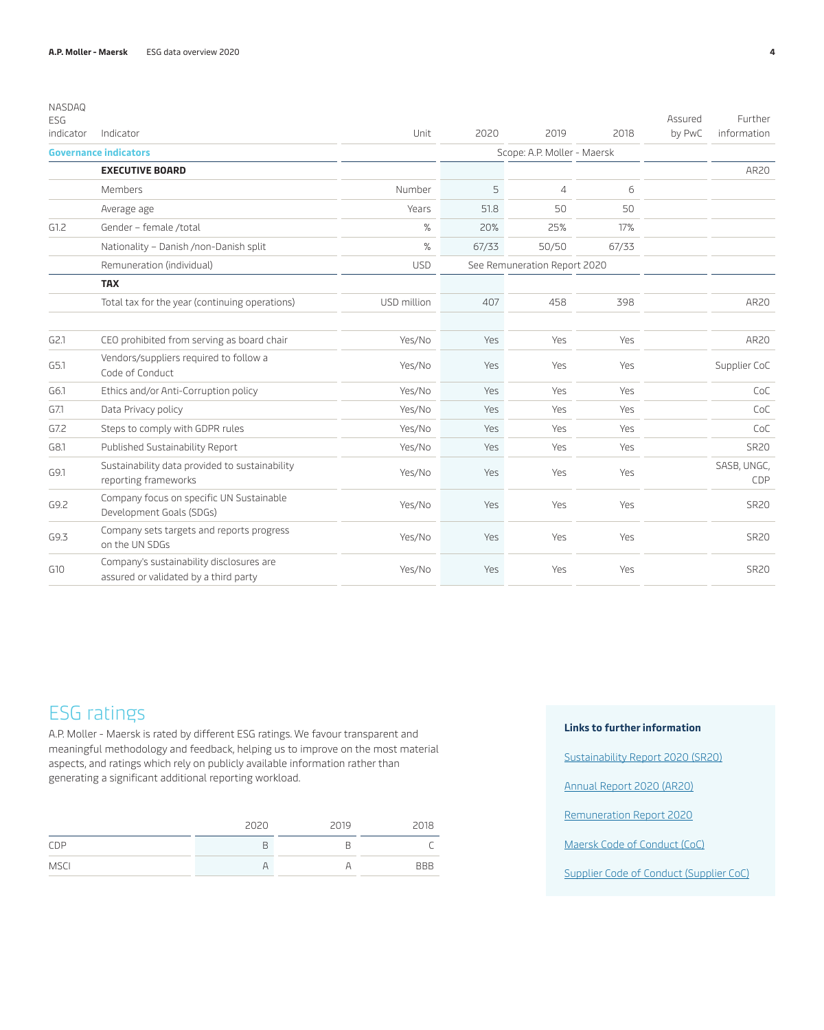| NASDAQ<br><b>ESG</b> |                                                                                   |             |            |                              |       | Assured | Further            |
|----------------------|-----------------------------------------------------------------------------------|-------------|------------|------------------------------|-------|---------|--------------------|
| indicator            | Indicator                                                                         | Unit        | 2020       | 2019                         | 2018  | by PwC  | information        |
|                      | <b>Governance indicators</b>                                                      |             |            | Scope: A.P. Moller - Maersk  |       |         |                    |
|                      | <b>EXECUTIVE BOARD</b>                                                            |             |            |                              |       |         | AR20               |
|                      | Members                                                                           | Number      | 5          | $\overline{4}$               | 6     |         |                    |
|                      | Average age                                                                       | Years       | 51.8       | 50                           | 50    |         |                    |
| G1.2                 | Gender - female /total                                                            | $\%$        | 20%        | 25%                          | 17%   |         |                    |
|                      | Nationality - Danish /non-Danish split                                            | $\%$        | 67/33      | 50/50                        | 67/33 |         |                    |
|                      | Remuneration (individual)                                                         | <b>USD</b>  |            | See Remuneration Report 2020 |       |         |                    |
|                      | <b>TAX</b>                                                                        |             |            |                              |       |         |                    |
|                      | Total tax for the year (continuing operations)                                    | USD million | 407        | 458                          | 398   |         | AR20               |
| G2.1                 | CEO prohibited from serving as board chair                                        | Yes/No      | <b>Yes</b> | Yes                          | Yes   |         | AR20               |
| G5.1                 | Vendors/suppliers required to follow a<br>Code of Conduct                         | Yes/No      | Yes        | Yes                          | Yes   |         | Supplier CoC       |
| G6.1                 | Ethics and/or Anti-Corruption policy                                              | Yes/No      | <b>Yes</b> | Yes                          | Yes   |         | CoC                |
| G7.1                 | Data Privacy policy                                                               | Yes/No      | <b>Yes</b> | Yes                          | Yes   |         | CoC                |
| G7.2                 | Steps to comply with GDPR rules                                                   | Yes/No      | <b>Yes</b> | Yes                          | Yes   |         | CoC                |
| G8.1                 | Published Sustainability Report                                                   | Yes/No      | Yes.       | Yes                          | Yes   |         | <b>SR20</b>        |
| G9.1                 | Sustainability data provided to sustainability<br>reporting frameworks            | Yes/No      | <b>Yes</b> | Yes                          | Yes   |         | SASB, UNGC,<br>CDP |
| G9.2                 | Company focus on specific UN Sustainable<br>Development Goals (SDGs)              | Yes/No      | Yes        | Yes                          | Yes   |         | <b>SR20</b>        |
| G9.3                 | Company sets targets and reports progress<br>on the UN SDGs                       | Yes/No      | <b>Yes</b> | Yes                          | Yes   |         | <b>SR20</b>        |
| G10                  | Company's sustainability disclosures are<br>assured or validated by a third party | Yes/No      | Yes        | Yes                          | Yes   |         | <b>SR20</b>        |

### ESG ratings

A.P. Moller - Maersk is rated by different ESG ratings. We favour transparent and meaningful methodology and feedback, helping us to improve on the most material aspects, and ratings which rely on publicly available information rather than generating a significant additional reporting workload.

|             | 2020 | 2019 | 2018       |
|-------------|------|------|------------|
| CDP         | В    |      |            |
| <b>MSCI</b> |      |      | <b>BBB</b> |

#### **Links to further information**

[Sustainability Report 2020 \(SR20\)](https://www.maersk.com/~/media_sc9/maersk/about/files/sustainability/sustainability-reports/sustainability-report-2020-a3.pdf)

[Annual Report 2020 \(AR20\)](https://investor.maersk.com/)

[Remuneration Report 2020](https://investor.maersk.com/)

[Maersk Code of Conduct \(CoC\)](https://www.maersk.com/about/code-of-conduct)

[Supplier Code of Conduct \(Supplier CoC\)](https://www.maersk.com/about/sustainability/supplier-code-of-conduct)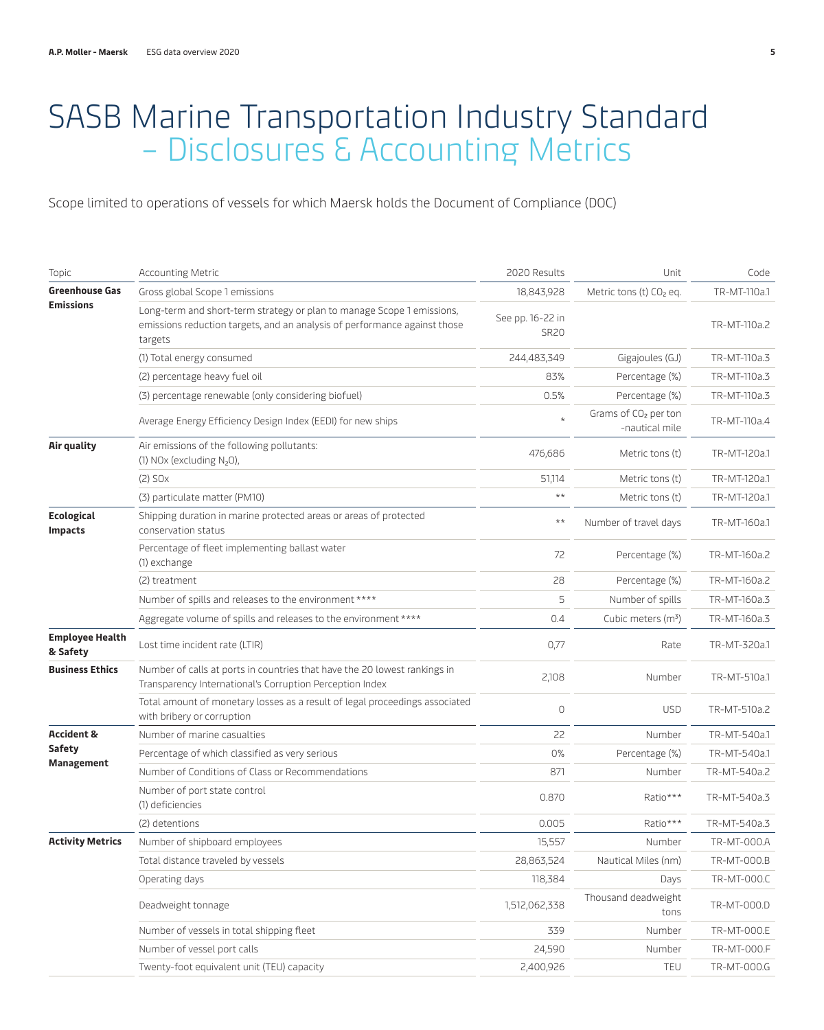## <span id="page-4-0"></span>SASB Marine Transportation Industry Standard – Disclosures & Accounting Metrics

Scope limited to operations of vessels for which Maersk holds the Document of Compliance (DOC)

| Topic                               | <b>Accounting Metric</b>                                                                                                                                       | 2020 Results                    | Unit                                               | Code         |
|-------------------------------------|----------------------------------------------------------------------------------------------------------------------------------------------------------------|---------------------------------|----------------------------------------------------|--------------|
| <b>Greenhouse Gas</b>               | Gross global Scope 1 emissions                                                                                                                                 | 18,843,928                      | Metric tons (t) $CO2$ eq.                          | TR-MT-110a.1 |
| <b>Emissions</b>                    | Long-term and short-term strategy or plan to manage Scope 1 emissions,<br>emissions reduction targets, and an analysis of performance against those<br>targets | See pp. 16-22 in<br><b>SR20</b> |                                                    | TR-MT-110a.2 |
|                                     | (1) Total energy consumed                                                                                                                                      | 244,483,349                     | Gigajoules (GJ)                                    | TR-MT-110a.3 |
|                                     | (2) percentage heavy fuel oil                                                                                                                                  | 83%                             | Percentage (%)                                     | TR-MT-110a.3 |
|                                     | (3) percentage renewable (only considering biofuel)                                                                                                            | 0.5%                            | Percentage (%)                                     | TR-MT-110a.3 |
|                                     | Average Energy Efficiency Design Index (EEDI) for new ships                                                                                                    |                                 | Grams of CO <sub>2</sub> per ton<br>-nautical mile | TR-MT-110a.4 |
| Air quality                         | Air emissions of the following pollutants:<br>(1) NOx (excluding N <sub>2</sub> O),                                                                            | 476,686                         | Metric tons (t)                                    | TR-MT-120a.1 |
|                                     | $(2)$ SO $x$                                                                                                                                                   | 51,114                          | Metric tons (t)                                    | TR-MT-120a.1 |
|                                     | (3) particulate matter (PM10)                                                                                                                                  | $\star\star$                    | Metric tons (t)                                    | TR-MT-120a.1 |
| <b>Ecological</b><br><b>Impacts</b> | Shipping duration in marine protected areas or areas of protected<br>conservation status                                                                       | $\star\,\star$                  | Number of travel days                              | TR-MT-160a.1 |
|                                     | Percentage of fleet implementing ballast water<br>(1) exchange                                                                                                 | 72                              | Percentage (%)                                     | TR-MT-160a.2 |
|                                     | (2) treatment                                                                                                                                                  | 28                              | Percentage (%)                                     | TR-MT-160a.2 |
|                                     | Number of spills and releases to the environment ****                                                                                                          | 5                               | Number of spills                                   | TR-MT-160a.3 |
|                                     | Aggregate volume of spills and releases to the environment ****                                                                                                | 0.4                             | Cubic meters (m <sup>3</sup> )                     | TR-MT-160a.3 |
| <b>Employee Health</b><br>& Safety  | Lost time incident rate (LTIR)                                                                                                                                 | 0,77                            | Rate                                               | TR-MT-320a.1 |
| <b>Business Ethics</b>              | Number of calls at ports in countries that have the 20 lowest rankings in<br>Transparency International's Corruption Perception Index                          | 2,108                           | Number                                             | TR-MT-510a.1 |
|                                     | Total amount of monetary losses as a result of legal proceedings associated<br>with bribery or corruption                                                      | $\mathbb O$                     | <b>USD</b>                                         | TR-MT-510a.2 |
| <b>Accident &amp;</b>               | Number of marine casualties                                                                                                                                    | 22                              | Number                                             | TR-MT-540a.1 |
| <b>Safety</b>                       | Percentage of which classified as very serious                                                                                                                 | 0%                              | Percentage (%)                                     | TR-MT-540a.1 |
| Management                          | Number of Conditions of Class or Recommendations                                                                                                               | 871                             | Number                                             | TR-MT-540a.2 |
|                                     | Number of port state control<br>(1) deficiencies                                                                                                               | 0.870                           | Ratio***                                           | TR-MT-540a.3 |
|                                     | (2) detentions                                                                                                                                                 | 0.005                           | Ratio***                                           | TR-MT-540a.3 |
| <b>Activity Metrics</b>             | Number of shipboard employees                                                                                                                                  | 15,557                          | Number                                             | TR-MT-000.A  |
|                                     | Total distance traveled by vessels                                                                                                                             | 28,863,524                      | Nautical Miles (nm)                                | TR-MT-000.B  |
|                                     | Operating days                                                                                                                                                 | 118,384                         | Days                                               | TR-MT-000.C  |
|                                     | Deadweight tonnage                                                                                                                                             | 1,512,062,338                   | Thousand deadweight<br>tons                        | TR-MT-000.D  |
|                                     | Number of vessels in total shipping fleet                                                                                                                      | 339                             | Number                                             | TR-MT-000.E  |
|                                     | Number of vessel port calls                                                                                                                                    | 24,590                          | Number                                             | TR-MT-000.F  |
|                                     | Twenty-foot equivalent unit (TEU) capacity                                                                                                                     | 2,400,926                       | <b>TEU</b>                                         | TR-MT-000.G  |